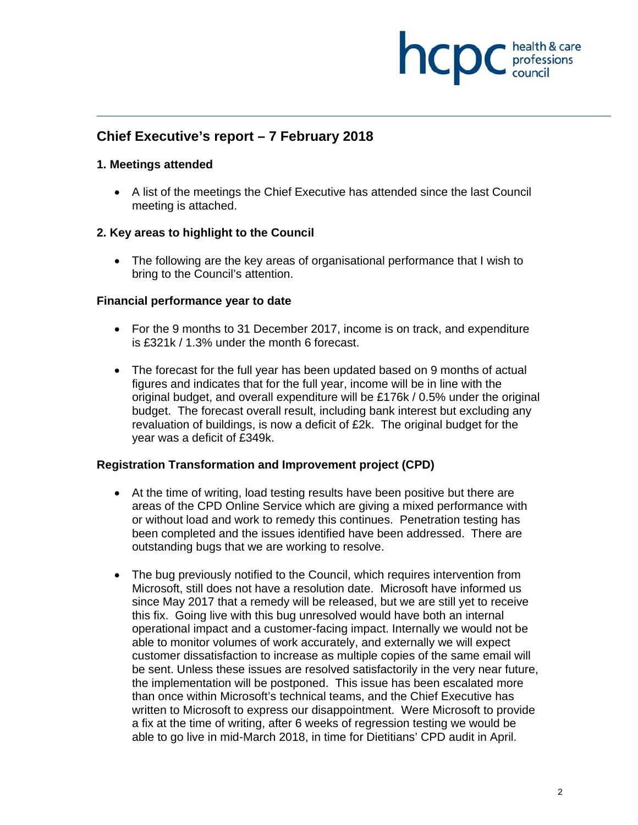

# **Chief Executive's report – 7 February 2018**

#### **1. Meetings attended**

 A list of the meetings the Chief Executive has attended since the last Council meeting is attached.

#### **2. Key areas to highlight to the Council**

 The following are the key areas of organisational performance that I wish to bring to the Council's attention.

#### **Financial performance year to date**

- For the 9 months to 31 December 2017, income is on track, and expenditure is £321k / 1.3% under the month 6 forecast.
- The forecast for the full year has been updated based on 9 months of actual figures and indicates that for the full year, income will be in line with the original budget, and overall expenditure will be £176k / 0.5% under the original budget. The forecast overall result, including bank interest but excluding any revaluation of buildings, is now a deficit of £2k. The original budget for the year was a deficit of £349k.

#### **Registration Transformation and Improvement project (CPD)**

- At the time of writing, load testing results have been positive but there are areas of the CPD Online Service which are giving a mixed performance with or without load and work to remedy this continues. Penetration testing has been completed and the issues identified have been addressed. There are outstanding bugs that we are working to resolve.
- The bug previously notified to the Council, which requires intervention from Microsoft, still does not have a resolution date. Microsoft have informed us since May 2017 that a remedy will be released, but we are still yet to receive this fix. Going live with this bug unresolved would have both an internal operational impact and a customer-facing impact. Internally we would not be able to monitor volumes of work accurately, and externally we will expect customer dissatisfaction to increase as multiple copies of the same email will be sent. Unless these issues are resolved satisfactorily in the very near future, the implementation will be postponed. This issue has been escalated more than once within Microsoft's technical teams, and the Chief Executive has written to Microsoft to express our disappointment. Were Microsoft to provide a fix at the time of writing, after 6 weeks of regression testing we would be able to go live in mid-March 2018, in time for Dietitians' CPD audit in April.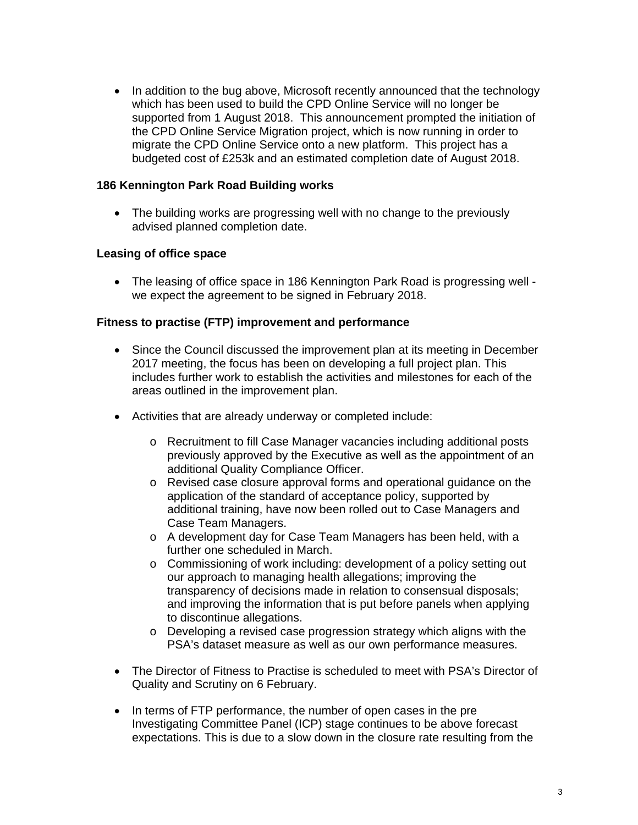• In addition to the bug above, Microsoft recently announced that the technology which has been used to build the CPD Online Service will no longer be supported from 1 August 2018. This announcement prompted the initiation of the CPD Online Service Migration project, which is now running in order to migrate the CPD Online Service onto a new platform. This project has a budgeted cost of £253k and an estimated completion date of August 2018.

### **186 Kennington Park Road Building works**

• The building works are progressing well with no change to the previously advised planned completion date.

### **Leasing of office space**

 The leasing of office space in 186 Kennington Park Road is progressing well we expect the agreement to be signed in February 2018.

#### **Fitness to practise (FTP) improvement and performance**

- Since the Council discussed the improvement plan at its meeting in December 2017 meeting, the focus has been on developing a full project plan. This includes further work to establish the activities and milestones for each of the areas outlined in the improvement plan.
- Activities that are already underway or completed include:
	- o Recruitment to fill Case Manager vacancies including additional posts previously approved by the Executive as well as the appointment of an additional Quality Compliance Officer.
	- o Revised case closure approval forms and operational guidance on the application of the standard of acceptance policy, supported by additional training, have now been rolled out to Case Managers and Case Team Managers.
	- o A development day for Case Team Managers has been held, with a further one scheduled in March.
	- o Commissioning of work including: development of a policy setting out our approach to managing health allegations; improving the transparency of decisions made in relation to consensual disposals; and improving the information that is put before panels when applying to discontinue allegations.
	- o Developing a revised case progression strategy which aligns with the PSA's dataset measure as well as our own performance measures.
- The Director of Fitness to Practise is scheduled to meet with PSA's Director of Quality and Scrutiny on 6 February.
- In terms of FTP performance, the number of open cases in the pre Investigating Committee Panel (ICP) stage continues to be above forecast expectations. This is due to a slow down in the closure rate resulting from the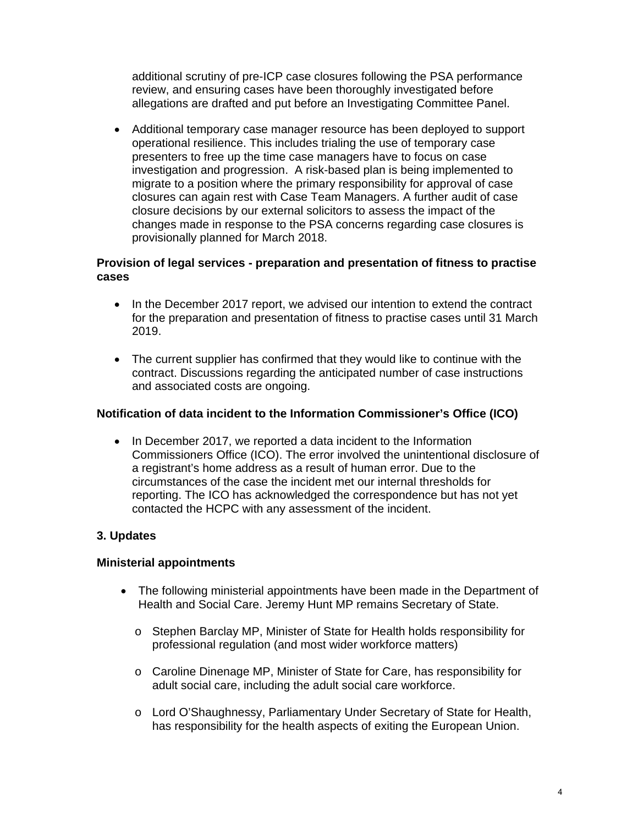additional scrutiny of pre-ICP case closures following the PSA performance review, and ensuring cases have been thoroughly investigated before allegations are drafted and put before an Investigating Committee Panel.

 Additional temporary case manager resource has been deployed to support operational resilience. This includes trialing the use of temporary case presenters to free up the time case managers have to focus on case investigation and progression. A risk-based plan is being implemented to migrate to a position where the primary responsibility for approval of case closures can again rest with Case Team Managers. A further audit of case closure decisions by our external solicitors to assess the impact of the changes made in response to the PSA concerns regarding case closures is provisionally planned for March 2018.

## **Provision of legal services - preparation and presentation of fitness to practise cases**

- In the December 2017 report, we advised our intention to extend the contract for the preparation and presentation of fitness to practise cases until 31 March 2019.
- The current supplier has confirmed that they would like to continue with the contract. Discussions regarding the anticipated number of case instructions and associated costs are ongoing.

## **Notification of data incident to the Information Commissioner's Office (ICO)**

• In December 2017, we reported a data incident to the Information Commissioners Office (ICO). The error involved the unintentional disclosure of a registrant's home address as a result of human error. Due to the circumstances of the case the incident met our internal thresholds for reporting. The ICO has acknowledged the correspondence but has not yet contacted the HCPC with any assessment of the incident.

## **3. Updates**

## **Ministerial appointments**

- The following ministerial appointments have been made in the Department of Health and Social Care. Jeremy Hunt MP remains Secretary of State.
	- o Stephen Barclay MP, Minister of State for Health holds responsibility for professional regulation (and most wider workforce matters)
	- o Caroline Dinenage MP, Minister of State for Care, has responsibility for adult social care, including the adult social care workforce.
	- o Lord O'Shaughnessy, Parliamentary Under Secretary of State for Health, has responsibility for the health aspects of exiting the European Union.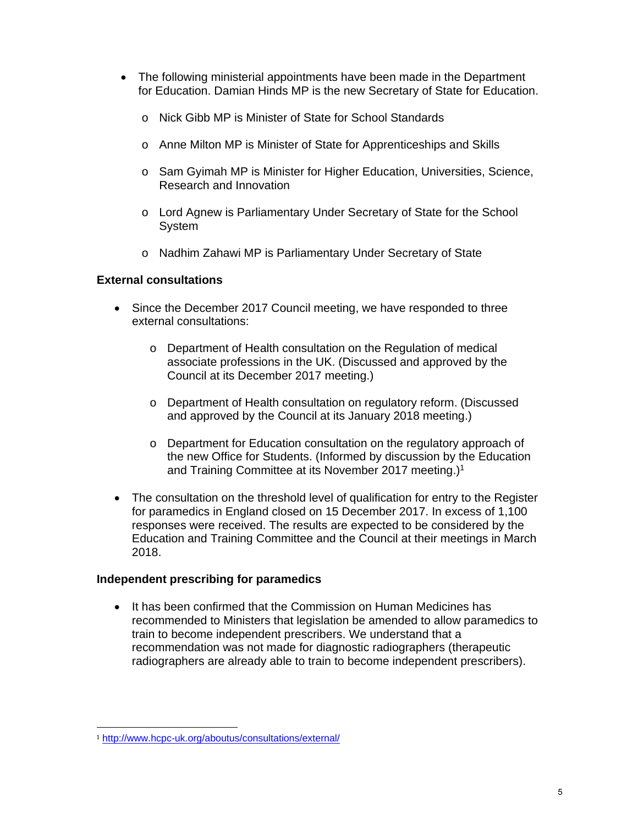- The following ministerial appointments have been made in the Department for Education. Damian Hinds MP is the new Secretary of State for Education.
	- o Nick Gibb MP is Minister of State for School Standards
	- o Anne Milton MP is Minister of State for Apprenticeships and Skills
	- o Sam Gyimah MP is Minister for Higher Education, Universities, Science, Research and Innovation
	- o Lord Agnew is Parliamentary Under Secretary of State for the School System
	- o Nadhim Zahawi MP is Parliamentary Under Secretary of State

## **External consultations**

- Since the December 2017 Council meeting, we have responded to three external consultations:
	- o Department of Health consultation on the Regulation of medical associate professions in the UK. (Discussed and approved by the Council at its December 2017 meeting.)
	- o Department of Health consultation on regulatory reform. (Discussed and approved by the Council at its January 2018 meeting.)
	- o Department for Education consultation on the regulatory approach of the new Office for Students. (Informed by discussion by the Education and Training Committee at its November 2017 meeting.)<sup>1</sup>
- The consultation on the threshold level of qualification for entry to the Register for paramedics in England closed on 15 December 2017. In excess of 1,100 responses were received. The results are expected to be considered by the Education and Training Committee and the Council at their meetings in March 2018.

### **Independent prescribing for paramedics**

• It has been confirmed that the Commission on Human Medicines has recommended to Ministers that legislation be amended to allow paramedics to train to become independent prescribers. We understand that a recommendation was not made for diagnostic radiographers (therapeutic radiographers are already able to train to become independent prescribers).

 

<sup>1</sup> http://www.hcpc-uk.org/aboutus/consultations/external/